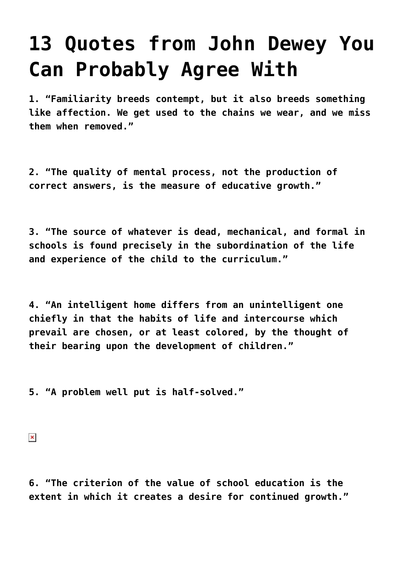## **[13 Quotes from John Dewey You](https://intellectualtakeout.org/2015/10/13-quotes-from-john-dewey-you-can-probably-agree-with/) [Can Probably Agree With](https://intellectualtakeout.org/2015/10/13-quotes-from-john-dewey-you-can-probably-agree-with/)**

**1. "Familiarity breeds contempt, but it also breeds something like affection. We get used to the chains we wear, and we miss them when removed."**

**2. "The quality of mental process, not the production of correct answers, is the measure of educative growth."**

**3. "The source of whatever is dead, mechanical, and formal in schools is found precisely in the subordination of the life and experience of the child to the curriculum."**

**4. "An intelligent home differs from an unintelligent one chiefly in that the habits of life and intercourse which prevail are chosen, or at least colored, by the thought of their bearing upon the development of children."**

**5. "A problem well put is half-solved."**

 $\pmb{\times}$ 

**6. "The criterion of the value of school education is the extent in which it creates a desire for continued growth."**